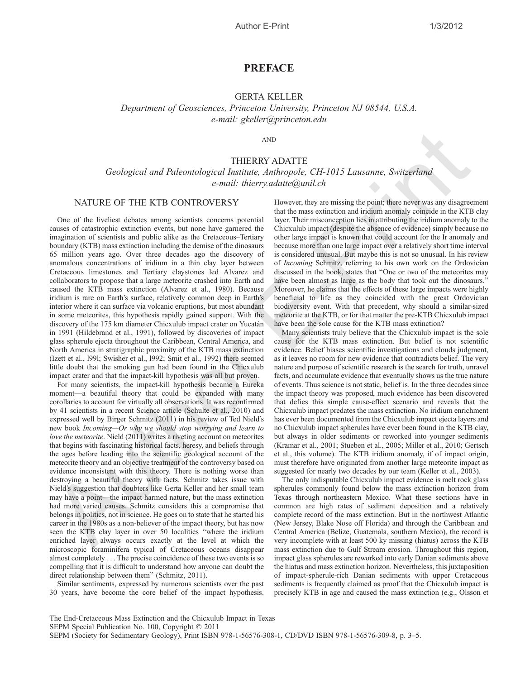## PREFACE

### GERTA KELLER

Department of Geosciences, Princeton University, Princeton NJ 08544, U.S.A. e-mail: gkeller@princeton.edu

AND

# THIERRY ADATTE Geological and Paleontological Institute, Anthropole, CH-1015 Lausanne, Switzerland e-mail: thierry.adatte@unil.ch

## NATURE OF THE KTB CONTROVERSY

One of the liveliest debates among scientists concerns potential causes of catastrophic extinction events, but none have garnered the imagination of scientists and public alike as the Cretaceous–Tertiary boundary (KTB) mass extinction including the demise of the dinosaurs 65 million years ago. Over three decades ago the discovery of anomalous concentrations of iridium in a thin clay layer between Cretaceous limestones and Tertiary claystones led Alvarez and collaborators to propose that a large meteorite crashed into Earth and caused the KTB mass extinction (Alvarez et al., 1980). Because iridium is rare on Earth's surface, relatively common deep in Earth's interior where it can surface via volcanic eruptions, but most abundant in some meteorites, this hypothesis rapidly gained support. With the discovery of the 175 km diameter Chicxulub impact crater on Yucatán in 1991 (Hildebrand et al., 1991), followed by discoveries of impact glass spherule ejecta throughout the Caribbean, Central America, and North America in stratigraphic proximity of the KTB mass extinction (Izett et al., l99l; Swisher et al., l992; Smit et al., 1992) there seemed little doubt that the smoking gun had been found in the Chicxulub impact crater and that the impact-kill hypothesis was all but proven.

For many scientists, the impact-kill hypothesis became a Eureka moment—a beautiful theory that could be expanded with many corollaries to account for virtually all observations. It was reconfirmed by 41 scientists in a recent Science article (Schulte et al., 2010) and expressed well by Birger Schmitz (2011) in his review of Ted Nield's new book Incoming—Or why we should stop worrying and learn to love the meteorite. Nield (2011) writes a riveting account on meteorites that begins with fascinating historical facts, heresy, and beliefs through the ages before leading into the scientific geological account of the meteorite theory and an objective treatment of the controversy based on evidence inconsistent with this theory. There is nothing worse than destroying a beautiful theory with facts. Schmitz takes issue with Nield's suggestion that doubters like Gerta Keller and her small team may have a point—the impact harmed nature, but the mass extinction had more varied causes. Schmitz considers this a compromise that belongs in politics, not in science. He goes on to state that he started his career in the 1980s as a non-believer of the impact theory, but has now seen the KTB clay layer in over 50 localities ''where the iridium enriched layer always occurs exactly at the level at which the microscopic foraminifera typical of Cretaceous oceans disappear almost completely . . . The precise coincidence of these two events is so compelling that it is difficult to understand how anyone can doubt the direct relationship between them'' (Schmitz, 2011). Avantum (Ferbingtical and Paleontological Institute Abbaye (T-1015 Lancaume, Switzerland<br>
NATURE OF THE KTB CONTROVERSY<br>
NATURE OF THE KTB CONTROVERSY<br>
NATURE OF THE KTB CONTROVERSY<br>
Neuron de mail. distersy addressing an

Similar sentiments, expressed by numerous scientists over the past 30 years, have become the core belief of the impact hypothesis.

However, they are missing the point; there never was any disagreement that the mass extinction and iridium anomaly coincide in the KTB clay layer. Their misconception lies in attributing the iridium anomaly to the Chicxulub impact (despite the absence of evidence) simply because no other large impact is known that could account for the Ir anomaly and because more than one large impact over a relatively short time interval is considered unusual. But maybe this is not so unusual. In his review of Incoming Schmitz, referring to his own work on the Ordovician discussed in the book, states that ''One or two of the meteorites may have been almost as large as the body that took out the dinosaurs.'' Moreover, he claims that the effects of these large impacts were highly beneficial to life as they coincided with the great Ordovician biodiversity event. With that precedent, why should a similar-sized meteorite at the KTB, or for that matter the pre-KTB Chicxulub impact have been the sole cause for the KTB mass extinction?

Many scientists truly believe that the Chicxulub impact is the sole cause for the KTB mass extinction. But belief is not scientific evidence. Belief biases scientific investigations and clouds judgment, as it leaves no room for new evidence that contradicts belief. The very nature and purpose of scientific research is the search for truth, unravel facts, and accumulate evidence that eventually shows us the true nature of events. Thus science is not static, belief is. In the three decades since the impact theory was proposed, much evidence has been discovered that defies this simple cause-effect scenario and reveals that the Chicxulub impact predates the mass extinction. No iridium enrichment has ever been documented from the Chicxulub impact ejecta layers and no Chicxulub impact spherules have ever been found in the KTB clay, but always in older sediments or reworked into younger sediments (Kramar et al., 2001; Stueben et al., 2005; Miller et al., 2010; Gertsch et al., this volume). The KTB iridium anomaly, if of impact origin, must therefore have originated from another large meteorite impact as suggested for nearly two decades by our team (Keller et al., 2003).

The only indisputable Chicxulub impact evidence is melt rock glass spherules commonly found below the mass extinction horizon from Texas through northeastern Mexico. What these sections have in common are high rates of sediment deposition and a relatively complete record of the mass extinction. But in the northwest Atlantic (New Jersey, Blake Nose off Florida) and through the Caribbean and Central America (Belize, Guatemala, southern Mexico), the record is very incomplete with at least 500 ky missing (hiatus) across the KTB mass extinction due to Gulf Stream erosion. Throughout this region, impact glass spherules are reworked into early Danian sediments above the hiatus and mass extinction horizon. Nevertheless, this juxtaposition of impact-spherule-rich Danian sediments with upper Cretaceous sediments is frequently claimed as proof that the Chicxulub impact is precisely KTB in age and caused the mass extinction (e.g., Olsson et

The End-Cretaceous Mass Extinction and the Chicxulub Impact in Texas SEPM Special Publication No. 100, Copyright © 2011 SEPM (Society for Sedimentary Geology), Print ISBN 978-1-56576-308-1, CD/DVD ISBN 978-1-56576-309-8, p. 3–5.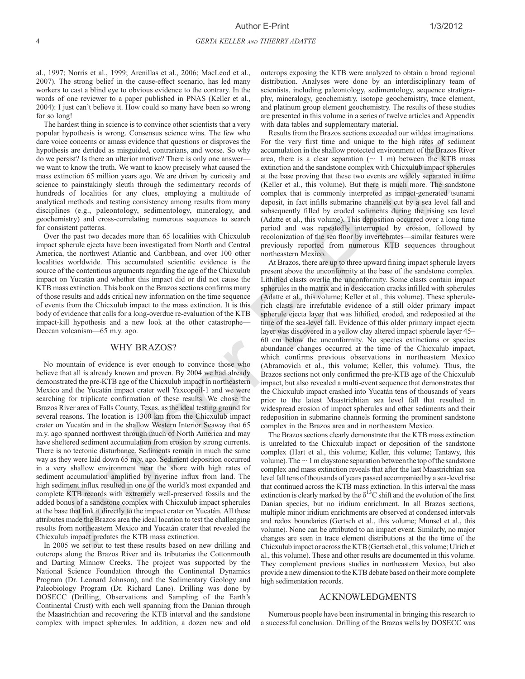al., 1997; Norris et al., 1999; Arenillas et al., 2006; MacLeod et al., 2007). The strong belief in the cause-effect scenario, has led many workers to cast a blind eye to obvious evidence to the contrary. In the words of one reviewer to a paper published in PNAS (Keller et al., 2004): I just can't believe it. How could so many have been so wrong for so long!

The hardest thing in science is to convince other scientists that a very popular hypothesis is wrong. Consensus science wins. The few who dare voice concerns or amass evidence that questions or disproves the hypothesis are derided as misguided, contrarians, and worse. So why do we persist? Is there an ulterior motive? There is only one answer we want to know the truth. We want to know precisely what caused the mass extinction 65 million years ago. We are driven by curiosity and science to painstakingly sleuth through the sedimentary records of hundreds of localities for any clues, employing a multitude of analytical methods and testing consistency among results from many disciplines (e.g., paleontology, sedimentology, mineralogy, and geochemistry) and cross-correlating numerous sequences to search for consistent patterns.

Over the past two decades more than 65 localities with Chicxulub impact spherule ejecta have been investigated from North and Central America, the northwest Atlantic and Caribbean, and over 100 other localities worldwide. This accumulated scientific evidence is the source of the contentious arguments regarding the age of the Chicxulub impact on Yucatán and whether this impact did or did not cause the KTB mass extinction. This book on the Brazos sections confirms many of those results and adds critical new information on the time sequence of events from the Chicxulub impact to the mass extinction. It is this body of evidence that calls for a long-overdue re-evaluation of the KTB impact-kill hypothesis and a new look at the other catastrophe— Deccan volcanism—65 m.y. ago.

#### WHY BRAZOS?

No mountain of evidence is ever enough to convince those who believe that all is already known and proven. By 2004 we had already demonstrated the pre-KTB age of the Chicxulub impact in northeastern Mexico and the Yucatán impact crater well Yaxcopoil-1 and we were searching for triplicate confirmation of these results. We chose the Brazos River area of Falls County, Texas, as the ideal testing ground for several reasons. The location is 1300 km from the Chicxulub impact crater on Yucatán and in the shallow Western Interior Seaway that 65 m.y. ago spanned northwest through much of North America and may have sheltered sediment accumulation from erosion by strong currents. There is no tectonic disturbance. Sediments remain in much the same way as they were laid down 65 m.y. ago. Sediment deposition occurred in a very shallow environment near the shore with high rates of sediment accumulation amplified by riverine influx from land. The high sediment influx resulted in one of the world's most expanded and complete KTB records with extremely well-preserved fossils and the added bonus of a sandstone complex with Chicxulub impact spherules at the base that link it directly to the impact crater on Yucatán. All these attributes made the Brazos area the ideal location to test the challenging results from northeastern Mexico and Yucatán crater that revealed the Chicxulub impact predates the KTB mass extinction. The probabilis is were Constructed Constructed in the Growing Results in the Branchara constructed in the Growing Constructed in the Growing Constructed Constructed in the Growing Constructed in the Growing Constructed in

In 2005 we set out to test these results based on new drilling and outcrops along the Brazos River and its tributaries the Cottonmouth and Darting Minnow Creeks. The project was supported by the National Science Foundation through the Continental Dynamics Program (Dr. Leonard Johnson), and the Sedimentary Geology and Paleobiology Program (Dr. Richard Lane). Drilling was done by DOSECC (Drilling, Observations and Sampling of the Earth's Continental Crust) with each well spanning from the Danian through the Maastrichtian and recovering the KTB interval and the sandstone complex with impact spherules. In addition, a dozen new and old outcrops exposing the KTB were analyzed to obtain a broad regional distribution. Analyses were done by an interdisciplinary team of scientists, including paleontology, sedimentology, sequence stratigraphy, mineralogy, geochemistry, isotope geochemistry, trace element, and platinum group element geochemistry. The results of these studies are presented in this volume in a series of twelve articles and Appendix with data tables and supplementary material.

Results from the Brazos sections exceeded our wildest imaginations. For the very first time and unique to the high rates of sediment accumulation in the shallow protected environment of the Brazos River area, there is a clear separation  $($   $\sim$  1 m) between the KTB mass extinction and the sandstone complex with Chicxulub impact spherules at the base proving that these two events are widely separated in time (Keller et al., this volume). But there is much more. The sandstone complex that is commonly interpreted as impact-generated tsunami deposit, in fact infills submarine channels cut by a sea level fall and subsequently filled by eroded sediments during the rising sea level (Adatte et al., this volume). This deposition occurred over a long time period and was repeatedly interrupted by erosion, followed by recolonization of the sea floor by invertebrates—similar features were previously reported from numerous KTB sequences throughout northeastern Mexico.

At Brazos, there are up to three upward fining impact spherule layers present above the unconformity at the base of the sandstone complex. Lithified clasts overlie the unconformity. Some clasts contain impact spherules in the matrix and in desiccation cracks infilled with spherules (Adatte et al., this volume; Keller et al., this volume). These spherulerich clasts are irrefutable evidence of a still older primary impact spherule ejecta layer that was lithified, eroded, and redeposited at the time of the sea-level fall. Evidence of this older primary impact ejecta layer was discovered in a yellow clay altered impact spherule layer 45– 60 cm below the unconformity. No species extinctions or species abundance changes occurred at the time of the Chicxulub impact, which confirms previous observations in northeastern Mexico (Abramovich et al., this volume; Keller, this volume). Thus, the Brazos sections not only confirmed the pre-KTB age of the Chicxulub impact, but also revealed a multi-event sequence that demonstrates that the Chicxulub impact crashed into Yucatán tens of thousands of years prior to the latest Maastrichtian sea level fall that resulted in widespread erosion of impact spherules and other sediments and their redeposition in submarine channels forming the prominent sandstone complex in the Brazos area and in northeastern Mexico.

The Brazos sections clearly demonstrate that the KTB mass extinction is unrelated to the Chicxulub impact or deposition of the sandstone complex (Hart et al., this volume; Keller, this volume; Tantawy, this volume). The  $\sim 1$  m claystone separation between the top of the sandstone complex and mass extinction reveals that after the last Maastrichtian sea level fall tens of thousands of years passed accompanied by a sea-level rise that continued across the KTB mass extinction. In this interval the mass extinction is clearly marked by the  $\delta^{13}$ C shift and the evolution of the first Danian species, but no iridium enrichment. In all Brazos sections, multiple minor iridium enrichments are observed at condensed intervals and redox boundaries (Gertsch et al., this volume; Munsel et al., this volume). None can be attributed to an impact event. Similarly, no major changes are seen in trace element distributions at the the time of the Chicxulub impact or across the KTB (Gertsch et al., this volume; Ulrich et al., this volume). These and other results are documented in this volume. They complement previous studies in northeastern Mexico, but also provide a new dimension to the KTB debate based on their more complete high sedimentation records.

#### ACKNOWLEDGMENTS

Numerous people have been instrumental in bringing this research to a successful conclusion. Drilling of the Brazos wells by DOSECC was